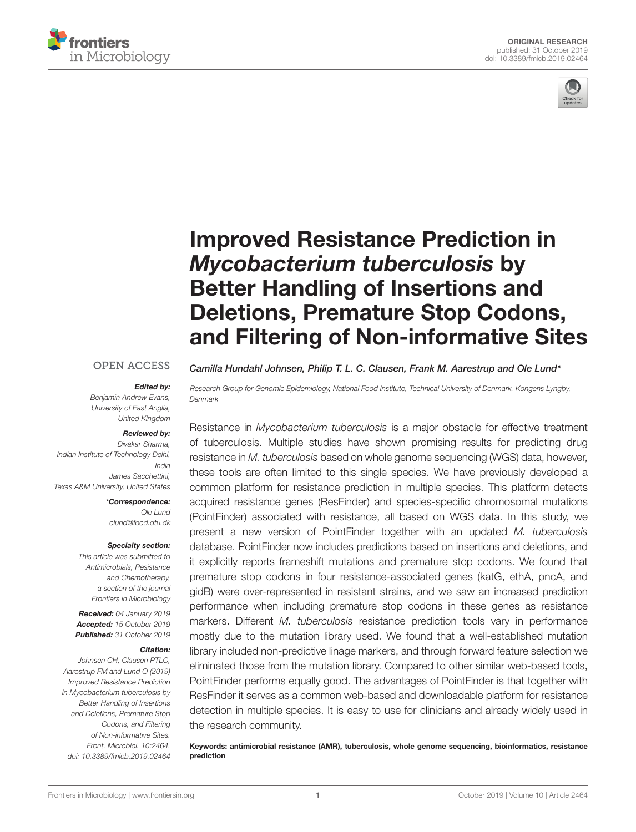



# Improved Resistance Prediction in Mycobacterium tuberculosis by Better Handling of Insertions and Deletions, Premature Stop Codons, [and Filtering of Non-informative Sites](https://www.frontiersin.org/articles/10.3389/fmicb.2019.02464/full)

#### **OPEN ACCESS**

#### Edited by:

Benjamin Andrew Evans, University of East Anglia, United Kingdom

#### Reviewed by:

Divakar Sharma, Indian Institute of Technology Delhi, India James Sacchettini, Texas A&M University, United States

> \*Correspondence: Ole Lund olund@food.dtu.dk

#### Specialty section:

This article was submitted to Antimicrobials, Resistance and Chemotherapy, a section of the journal Frontiers in Microbiology

Received: 04 January 2019 Accepted: 15 October 2019 Published: 31 October 2019

#### Citation:

Johnsen CH, Clausen PTLC, Aarestrup FM and Lund O (2019) Improved Resistance Prediction in Mycobacterium tuberculosis by Better Handling of Insertions and Deletions, Premature Stop Codons, and Filtering of Non-informative Sites. Front. Microbiol. 10:2464. doi: [10.3389/fmicb.2019.02464](https://doi.org/10.3389/fmicb.2019.02464)

[Camilla Hundahl Johnsen,](http://loop.frontiersin.org/people/661394/overview) [Philip T. L. C. Clausen,](http://loop.frontiersin.org/people/666384/overview) [Frank M. Aarestrup](http://loop.frontiersin.org/people/19851/overview) and [Ole Lund](http://loop.frontiersin.org/people/734738/overview)\*

Research Group for Genomic Epidemiology, National Food Institute, Technical University of Denmark, Kongens Lyngby, Denmark

Resistance in Mycobacterium tuberculosis is a major obstacle for effective treatment of tuberculosis. Multiple studies have shown promising results for predicting drug resistance in M. tuberculosis based on whole genome sequencing (WGS) data, however, these tools are often limited to this single species. We have previously developed a common platform for resistance prediction in multiple species. This platform detects acquired resistance genes (ResFinder) and species-specific chromosomal mutations (PointFinder) associated with resistance, all based on WGS data. In this study, we present a new version of PointFinder together with an updated M. tuberculosis database. PointFinder now includes predictions based on insertions and deletions, and it explicitly reports frameshift mutations and premature stop codons. We found that premature stop codons in four resistance-associated genes (katG, ethA, pncA, and gidB) were over-represented in resistant strains, and we saw an increased prediction performance when including premature stop codons in these genes as resistance markers. Different M. tuberculosis resistance prediction tools vary in performance mostly due to the mutation library used. We found that a well-established mutation library included non-predictive linage markers, and through forward feature selection we eliminated those from the mutation library. Compared to other similar web-based tools, PointFinder performs equally good. The advantages of PointFinder is that together with ResFinder it serves as a common web-based and downloadable platform for resistance detection in multiple species. It is easy to use for clinicians and already widely used in the research community.

Keywords: antimicrobial resistance (AMR), tuberculosis, whole genome sequencing, bioinformatics, resistance prediction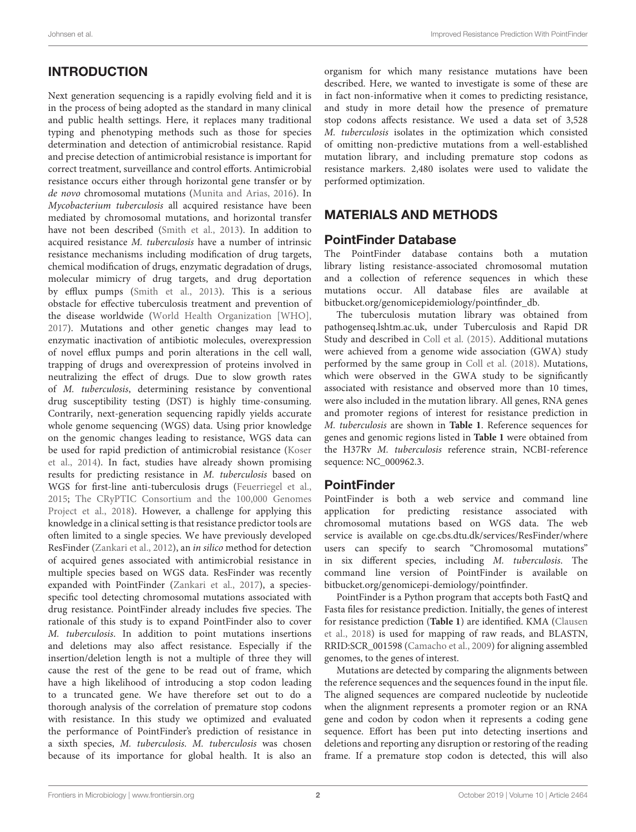# INTRODUCTION

Next generation sequencing is a rapidly evolving field and it is in the process of being adopted as the standard in many clinical and public health settings. Here, it replaces many traditional typing and phenotyping methods such as those for species determination and detection of antimicrobial resistance. Rapid and precise detection of antimicrobial resistance is important for correct treatment, surveillance and control efforts. Antimicrobial resistance occurs either through horizontal gene transfer or by de novo chromosomal mutations [\(Munita and Arias,](#page-9-0) [2016\)](#page-9-0). In Mycobacterium tuberculosis all acquired resistance have been mediated by chromosomal mutations, and horizontal transfer have not been described [\(Smith et al.,](#page-9-1) [2013\)](#page-9-1). In addition to acquired resistance M. tuberculosis have a number of intrinsic resistance mechanisms including modification of drug targets, chemical modification of drugs, enzymatic degradation of drugs, molecular mimicry of drug targets, and drug deportation by efflux pumps [\(Smith et al.,](#page-9-1) [2013\)](#page-9-1). This is a serious obstacle for effective tuberculosis treatment and prevention of the disease worldwide [\(World Health Organization \[WHO\],](#page-9-2) [2017\)](#page-9-2). Mutations and other genetic changes may lead to enzymatic inactivation of antibiotic molecules, overexpression of novel efflux pumps and porin alterations in the cell wall, trapping of drugs and overexpression of proteins involved in neutralizing the effect of drugs. Due to slow growth rates of M. tuberculosis, determining resistance by conventional drug susceptibility testing (DST) is highly time-consuming. Contrarily, next-generation sequencing rapidly yields accurate whole genome sequencing (WGS) data. Using prior knowledge on the genomic changes leading to resistance, WGS data can be used for rapid prediction of antimicrobial resistance [\(Koser](#page-9-3) [et al.,](#page-9-3) [2014\)](#page-9-3). In fact, studies have already shown promising results for predicting resistance in M. tuberculosis based on WGS for first-line anti-tuberculosis drugs [\(Feuerriegel et al.,](#page-8-0) [2015;](#page-8-0) [The CRyPTIC Consortium and the 100,000 Genomes](#page-9-4) [Project et al.,](#page-9-4) [2018\)](#page-9-4). However, a challenge for applying this knowledge in a clinical setting is that resistance predictor tools are often limited to a single species. We have previously developed ResFinder [\(Zankari et al.,](#page-9-5) [2012\)](#page-9-5), an in silico method for detection of acquired genes associated with antimicrobial resistance in multiple species based on WGS data. ResFinder was recently expanded with PointFinder [\(Zankari et al.,](#page-9-6) [2017\)](#page-9-6), a speciesspecific tool detecting chromosomal mutations associated with drug resistance. PointFinder already includes five species. The rationale of this study is to expand PointFinder also to cover M. tuberculosis. In addition to point mutations insertions and deletions may also affect resistance. Especially if the insertion/deletion length is not a multiple of three they will cause the rest of the gene to be read out of frame, which have a high likelihood of introducing a stop codon leading to a truncated gene. We have therefore set out to do a thorough analysis of the correlation of premature stop codons with resistance. In this study we optimized and evaluated the performance of PointFinder's prediction of resistance in a sixth species, M. tuberculosis. M. tuberculosis was chosen because of its importance for global health. It is also an

organism for which many resistance mutations have been described. Here, we wanted to investigate is some of these are in fact non-informative when it comes to predicting resistance, and study in more detail how the presence of premature stop codons affects resistance. We used a data set of 3,528 M. tuberculosis isolates in the optimization which consisted of omitting non-predictive mutations from a well-established mutation library, and including premature stop codons as resistance markers. 2,480 isolates were used to validate the performed optimization.

# MATERIALS AND METHODS

#### PointFinder Database

The PointFinder database contains both a mutation library listing resistance-associated chromosomal mutation and a collection of reference sequences in which these mutations occur. All database files are available at [bitbucket.org/genomicepidemiology/pointfinder\\_db.](http://bitbucket.org/genomicepidemiology/pointfinder_db)

The tuberculosis mutation library was obtained from [pathogenseq.lshtm.ac.uk,](http://pathogenseq.lshtm.ac.uk) under Tuberculosis and Rapid DR Study and described in [Coll et al.](#page-8-1) [\(2015\)](#page-8-1). Additional mutations were achieved from a genome wide association (GWA) study performed by the same group in [Coll et al.](#page-8-2) [\(2018\)](#page-8-2). Mutations, which were observed in the GWA study to be significantly associated with resistance and observed more than 10 times, were also included in the mutation library. All genes, RNA genes and promoter regions of interest for resistance prediction in M. tuberculosis are shown in **[Table 1](#page-2-0)**. Reference sequences for genes and genomic regions listed in **[Table 1](#page-2-0)** were obtained from the H37Rv M. tuberculosis reference strain, NCBI-reference sequence: NC\_000962.3.

# **PointFinder**

PointFinder is both a web service and command line application for predicting resistance associated with chromosomal mutations based on WGS data. The web service is available on cge.cbs.dtu.dk/services/ResFinder/where users can specify to search "Chromosomal mutations" in six different species, including M. tuberculosis. The command line version of PointFinder is available on [bitbucket.org/genomicepi-demiology/pointfinder.](http://bitbucket.org/genomicepi-demiology/pointfinder)

PointFinder is a Python program that accepts both FastQ and Fasta files for resistance prediction. Initially, the genes of interest for resistance prediction (**[Table 1](#page-2-0)**) are identified. KMA [\(Clausen](#page-8-3) [et al.,](#page-8-3) [2018\)](#page-8-3) is used for mapping of raw reads, and BLASTN, [RRID:SCR\\_001598](https://scicrunch.org/resolver/RRID:SCR_001598) [\(Camacho et al.,](#page-8-4) [2009\)](#page-8-4) for aligning assembled genomes, to the genes of interest.

Mutations are detected by comparing the alignments between the reference sequences and the sequences found in the input file. The aligned sequences are compared nucleotide by nucleotide when the alignment represents a promoter region or an RNA gene and codon by codon when it represents a coding gene sequence. Effort has been put into detecting insertions and deletions and reporting any disruption or restoring of the reading frame. If a premature stop codon is detected, this will also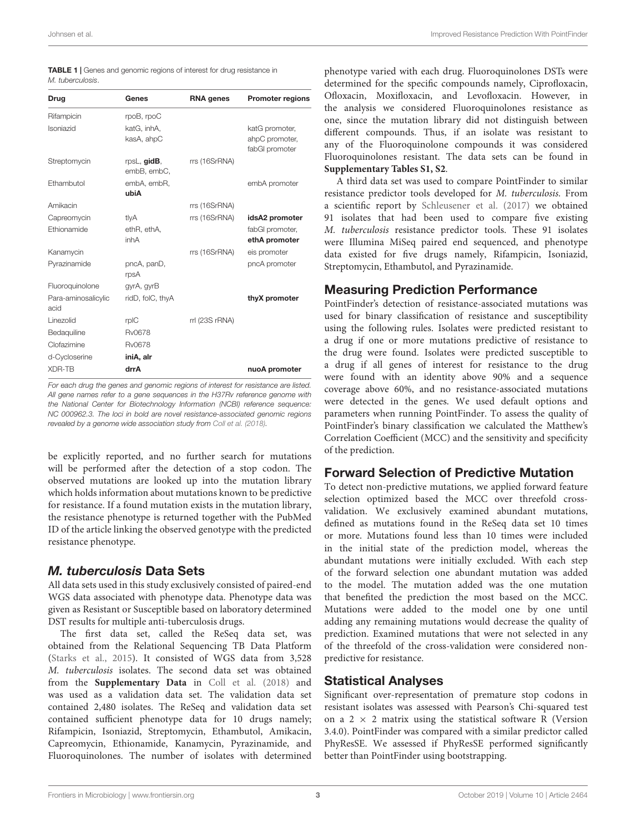<span id="page-2-0"></span>

| <b>TABLE 1</b>   Genes and genomic regions of interest for drug resistance in |  |
|-------------------------------------------------------------------------------|--|
| M. tuberculosis.                                                              |  |

| Drug                        | Genes                      | <b>RNA</b> genes | <b>Promoter regions</b>          |
|-----------------------------|----------------------------|------------------|----------------------------------|
| Rifampicin                  | rpoB, rpoC                 |                  |                                  |
| Isoniazid                   | katG, inhA,                |                  | katG promoter,                   |
|                             | kasA, ahpC                 |                  | ahpC promoter,                   |
|                             |                            |                  | fabGI promoter                   |
| Streptomycin                | rpsL, gidB,<br>embB, embC, | rrs (16SrRNA)    |                                  |
| Ethambutol                  | embA, embR,                |                  | embA promoter                    |
|                             | ubiA                       |                  |                                  |
| Amikacin                    |                            | rrs (16SrRNA)    |                                  |
| Capreomycin                 | tlyA                       | rrs (16SrRNA)    | idsA2 promoter                   |
| Ethionamide                 | ethR, ethA,<br>inhA        |                  | fabGI promoter,<br>ethA promoter |
| Kanamycin                   |                            | rrs (16SrRNA)    | eis promoter                     |
| Pyrazinamide                | pncA, panD,<br>rpsA        |                  | pncA promoter                    |
| Fluoroquinolone             | gyrA, gyrB                 |                  |                                  |
| Para-aminosalicylic<br>acid | ridD, folC, thyA           |                  | thyX promoter                    |
| Linezolid                   | rpIC                       | rrl (23S rRNA)   |                                  |
| Bedaquiline                 | <b>Rv0678</b>              |                  |                                  |
| Clofazimine                 | <b>Rv0678</b>              |                  |                                  |
| d-Cycloserine               | iniA, alr                  |                  |                                  |
| <b>XDR-TB</b>               | drrA                       |                  | nuoA promoter                    |
|                             |                            |                  |                                  |

For each drug the genes and genomic regions of interest for resistance are listed. All gene names refer to a gene sequences in the H37Rv reference genome with the National Center for Biotechnology Information (NCBI) reference sequence: NC 000962.3. The loci in bold are novel resistance-associated genomic regions revealed by a genome wide association study from [Coll et al.](#page-8-2) [\(2018\)](#page-8-2).

be explicitly reported, and no further search for mutations will be performed after the detection of a stop codon. The observed mutations are looked up into the mutation library which holds information about mutations known to be predictive for resistance. If a found mutation exists in the mutation library, the resistance phenotype is returned together with the PubMed ID of the article linking the observed genotype with the predicted resistance phenotype.

# M. tuberculosis Data Sets

All data sets used in this study exclusively consisted of paired-end WGS data associated with phenotype data. Phenotype data was given as Resistant or Susceptible based on laboratory determined DST results for multiple anti-tuberculosis drugs.

The first data set, called the ReSeq data set, was obtained from the Relational Sequencing TB Data Platform [\(Starks et al.,](#page-9-7) [2015\)](#page-9-7). It consisted of WGS data from 3,528 M. tuberculosis isolates. The second data set was obtained from the **[Supplementary Data](#page-8-5)** in [Coll et al.](#page-8-2) [\(2018\)](#page-8-2) and was used as a validation data set. The validation data set contained 2,480 isolates. The ReSeq and validation data set contained sufficient phenotype data for 10 drugs namely; Rifampicin, Isoniazid, Streptomycin, Ethambutol, Amikacin, Capreomycin, Ethionamide, Kanamycin, Pyrazinamide, and Fluoroquinolones. The number of isolates with determined

phenotype varied with each drug. Fluoroquinolones DSTs were determined for the specific compounds namely, Ciprofloxacin, Ofloxacin, Moxifloxacin, and Levofloxacin. However, in the analysis we considered Fluoroquinolones resistance as one, since the mutation library did not distinguish between different compounds. Thus, if an isolate was resistant to any of the Fluoroquinolone compounds it was considered Fluoroquinolones resistant. The data sets can be found in **[Supplementary Tables S1, S2](#page-8-5)**.

A third data set was used to compare PointFinder to similar resistance predictor tools developed for M. tuberculosis. From a scientific report by [Schleusener et al.](#page-9-8) [\(2017\)](#page-9-8) we obtained 91 isolates that had been used to compare five existing M. tuberculosis resistance predictor tools. These 91 isolates were Illumina MiSeq paired end sequenced, and phenotype data existed for five drugs namely, Rifampicin, Isoniazid, Streptomycin, Ethambutol, and Pyrazinamide.

# Measuring Prediction Performance

PointFinder's detection of resistance-associated mutations was used for binary classification of resistance and susceptibility using the following rules. Isolates were predicted resistant to a drug if one or more mutations predictive of resistance to the drug were found. Isolates were predicted susceptible to a drug if all genes of interest for resistance to the drug were found with an identity above 90% and a sequence coverage above 60%, and no resistance-associated mutations were detected in the genes. We used default options and parameters when running PointFinder. To assess the quality of PointFinder's binary classification we calculated the Matthew's Correlation Coefficient (MCC) and the sensitivity and specificity of the prediction.

# Forward Selection of Predictive Mutation

To detect non-predictive mutations, we applied forward feature selection optimized based the MCC over threefold crossvalidation. We exclusively examined abundant mutations, defined as mutations found in the ReSeq data set 10 times or more. Mutations found less than 10 times were included in the initial state of the prediction model, whereas the abundant mutations were initially excluded. With each step of the forward selection one abundant mutation was added to the model. The mutation added was the one mutation that benefited the prediction the most based on the MCC. Mutations were added to the model one by one until adding any remaining mutations would decrease the quality of prediction. Examined mutations that were not selected in any of the threefold of the cross-validation were considered nonpredictive for resistance.

# Statistical Analyses

Significant over-representation of premature stop codons in resistant isolates was assessed with Pearson's Chi-squared test on a 2  $\times$  2 matrix using the statistical software R (Version 3.4.0). PointFinder was compared with a similar predictor called PhyResSE. We assessed if PhyResSE performed significantly better than PointFinder using bootstrapping.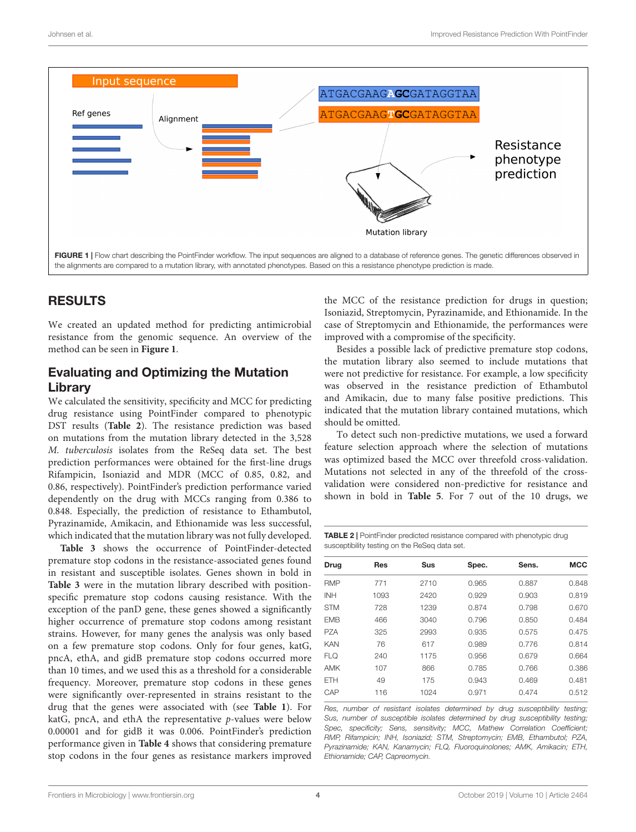

# <span id="page-3-0"></span>RESULTS

We created an updated method for predicting antimicrobial resistance from the genomic sequence. An overview of the method can be seen in **[Figure 1](#page-3-0)**.

# Evaluating and Optimizing the Mutation Library

We calculated the sensitivity, specificity and MCC for predicting drug resistance using PointFinder compared to phenotypic DST results (**[Table 2](#page-3-1)**). The resistance prediction was based on mutations from the mutation library detected in the 3,528 M. tuberculosis isolates from the ReSeq data set. The best prediction performances were obtained for the first-line drugs Rifampicin, Isoniazid and MDR (MCC of 0.85, 0.82, and 0.86, respectively). PointFinder's prediction performance varied dependently on the drug with MCCs ranging from 0.386 to 0.848. Especially, the prediction of resistance to Ethambutol, Pyrazinamide, Amikacin, and Ethionamide was less successful, which indicated that the mutation library was not fully developed.

**[Table 3](#page-4-0)** shows the occurrence of PointFinder-detected premature stop codons in the resistance-associated genes found in resistant and susceptible isolates. Genes shown in bold in **[Table 3](#page-4-0)** were in the mutation library described with positionspecific premature stop codons causing resistance. With the exception of the panD gene, these genes showed a significantly higher occurrence of premature stop codons among resistant strains. However, for many genes the analysis was only based on a few premature stop codons. Only for four genes, katG, pncA, ethA, and gidB premature stop codons occurred more than 10 times, and we used this as a threshold for a considerable frequency. Moreover, premature stop codons in these genes were significantly over-represented in strains resistant to the drug that the genes were associated with (see **[Table 1](#page-2-0)**). For katG, pncA, and ethA the representative p-values were below 0.00001 and for gidB it was 0.006. PointFinder's prediction performance given in **[Table 4](#page-4-1)** shows that considering premature stop codons in the four genes as resistance markers improved

the MCC of the resistance prediction for drugs in question; Isoniazid, Streptomycin, Pyrazinamide, and Ethionamide. In the case of Streptomycin and Ethionamide, the performances were improved with a compromise of the specificity.

Besides a possible lack of predictive premature stop codons, the mutation library also seemed to include mutations that were not predictive for resistance. For example, a low specificity was observed in the resistance prediction of Ethambutol and Amikacin, due to many false positive predictions. This indicated that the mutation library contained mutations, which should be omitted.

To detect such non-predictive mutations, we used a forward feature selection approach where the selection of mutations was optimized based the MCC over threefold cross-validation. Mutations not selected in any of the threefold of the crossvalidation were considered non-predictive for resistance and shown in bold in **[Table 5](#page-5-0)**. For 7 out of the 10 drugs, we

<span id="page-3-1"></span>

| <b>TABLE 2</b>   PointFinder predicted resistance compared with phenotypic drug |
|---------------------------------------------------------------------------------|
| susceptibility testing on the ReSeg data set.                                   |

| <b>Drug</b> | <b>Res</b> | <b>Sus</b> | Spec. | Sens. | <b>MCC</b> |
|-------------|------------|------------|-------|-------|------------|
| <b>RMP</b>  | 771        | 2710       | 0.965 | 0.887 | 0.848      |
| <b>INH</b>  | 1093       | 2420       | 0.929 | 0.903 | 0.819      |
| <b>STM</b>  | 728        | 1239       | 0.874 | 0.798 | 0.670      |
| <b>FMB</b>  | 466        | 3040       | 0.796 | 0.850 | 0.484      |
| <b>PZA</b>  | 325        | 2993       | 0.935 | 0.575 | 0.475      |
| <b>KAN</b>  | 76         | 617        | 0.989 | 0.776 | 0.814      |
| <b>FLQ</b>  | 240        | 1175       | 0.956 | 0.679 | 0.664      |
| AMK         | 107        | 866        | 0.785 | 0.766 | 0.386      |
| <b>ETH</b>  | 49         | 175        | 0.943 | 0.469 | 0.481      |
| CAP         | 116        | 1024       | 0.971 | 0.474 | 0.512      |
|             |            |            |       |       |            |

Res, number of resistant isolates determined by drug susceptibility testing; Sus, number of susceptible isolates determined by drug susceptibility testing; Spec, specificity; Sens, sensitivity; MCC, Mathew Correlation Coefficient; RMP, Rifampicin; INH, Isoniazid; STM, Streptomycin; EMB, Ethambutol; PZA, Pyrazinamide; KAN, Kanamycin; FLQ, Fluoroquinolones; AMK, Amikacin; ETH, Ethionamide; CAP, Capreomycin.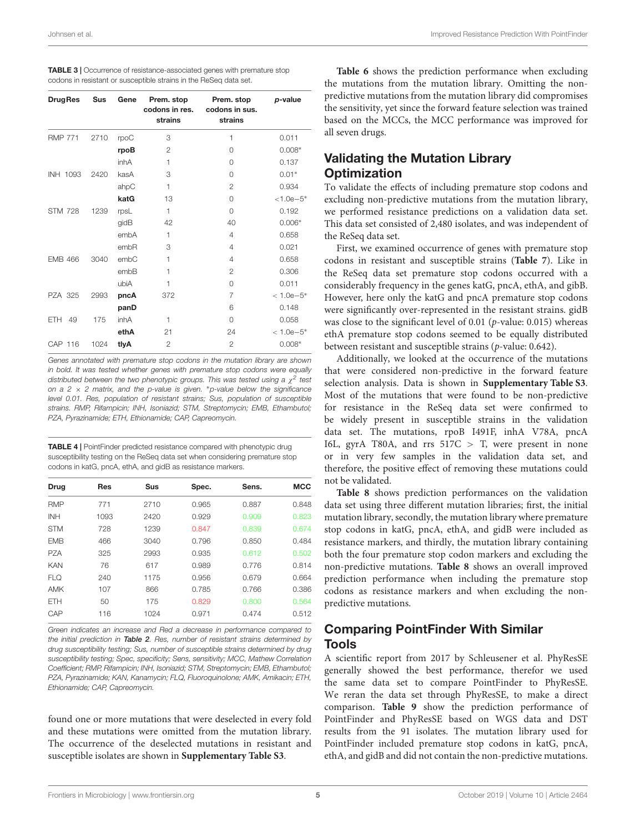<span id="page-4-0"></span>

| <b>TABLE 3</b>   Occurrence of resistance-associated genes with premature stop |
|--------------------------------------------------------------------------------|
| codons in resistant or susceptible strains in the ReSeq data set.              |

| <b>DrugRes</b> | <b>Sus</b> | Gene | Prem. stop<br>Prem. stop<br>codons in res.<br>codons in sus.<br>strains<br>strains |                | p-value       |  |
|----------------|------------|------|------------------------------------------------------------------------------------|----------------|---------------|--|
| <b>RMP 771</b> | 2710       | rpoC | 3                                                                                  | 1              | 0.011         |  |
|                |            | rpoB | $\overline{2}$                                                                     | $\Omega$       | $0.008*$      |  |
|                |            | inhA | 0.137<br>1<br>$\Omega$                                                             |                |               |  |
| INH 1093       | 2420       | kasA | 3                                                                                  | $\Omega$       | $0.01*$       |  |
|                |            | ahpC | $\mathbf{1}$                                                                       | $\overline{2}$ | 0.934         |  |
|                |            | katG | 13                                                                                 | 0              | $< 1.0e - 5*$ |  |
| <b>STM 728</b> | 1239       | rpsL | 1                                                                                  | $\Omega$       | 0.192         |  |
|                |            | gidB | 42                                                                                 | 40             | $0.006*$      |  |
|                |            | embA | 1                                                                                  | 4              | 0.658         |  |
|                |            | embR | 3                                                                                  | 4              | 0.021         |  |
| <b>EMB 466</b> | 3040       | embC | 1                                                                                  | 4              | 0.658         |  |
|                |            | embB | 1                                                                                  | $\overline{2}$ | 0.306         |  |
|                |            | ubiA | 1                                                                                  | 0              | 0.011         |  |
| <b>PZA 325</b> | 2993       | pncA | 372                                                                                | $\overline{7}$ | $< 1.0e-5*$   |  |
|                |            | panD | 6                                                                                  |                | 0.148         |  |
| ETH.<br>49     | 175        | inhA | 1<br>$\Omega$                                                                      |                | 0.058         |  |
|                |            | ethA | 21                                                                                 | 24             | $< 1.0e-5*$   |  |
| CAP 116        | 1024       | tlyA | $\overline{2}$                                                                     | $\overline{2}$ | $0.008*$      |  |

Genes annotated with premature stop codons in the mutation library are shown in bold. It was tested whether genes with premature stop codons were equally distributed between the two phenotypic groups. This was tested using a  $\chi^2$  test on a 2  $\times$  2 matrix, and the p-value is given. \*p-value below the significance level 0.01. Res, population of resistant strains; Sus, population of susceptible strains. RMP, Rifampicin; INH, Isoniazid; STM, Streptomycin; EMB, Ethambutol; PZA, Pyrazinamide; ETH, Ethionamide; CAP, Capreomycin.

<span id="page-4-1"></span>TABLE 4 | PointFinder predicted resistance compared with phenotypic drug susceptibility testing on the ReSeq data set when considering premature stop codons in katG, pncA, ethA, and gidB as resistance markers.

| Drug       | <b>Res</b> | <b>Sus</b> | Spec. | Sens. | <b>MCC</b> |
|------------|------------|------------|-------|-------|------------|
| <b>RMP</b> | 771        | 2710       | 0.965 | 0.887 | 0.848      |
| <b>INH</b> | 1093       | 2420       | 0.929 | 0.909 | 0.823      |
| <b>STM</b> | 728        | 1239       | 0.847 | 0.839 | 0.674      |
| <b>FMB</b> | 466        | 3040       | 0.796 | 0.850 | 0.484      |
| PZA        | 325        | 2993       | 0.935 | 0.612 | 0.502      |
| <b>KAN</b> | 76         | 617        | 0.989 | 0.776 | 0.814      |
| <b>FLQ</b> | 240        | 1175       | 0.956 | 0.679 | 0.664      |
| AMK        | 107        | 866        | 0.785 | 0.766 | 0.386      |
| <b>ETH</b> | 50         | 175        | 0.829 | 0.800 | 0.564      |
| CAP        | 116        | 1024       | 0.971 | 0.474 | 0.512      |

Green indicates an increase and Red a decrease in performance compared to the initial prediction in [Table 2](#page-3-1). Res, number of resistant strains determined by drug susceptibility testing; Sus, number of susceptible strains determined by drug susceptibility testing; Spec, specificity; Sens, sensitivity; MCC, Mathew Correlation Coefficient; RMP, Rifampicin; INH, Isoniazid; STM, Streptomycin; EMB, Ethambutol; PZA, Pyrazinamide; KAN, Kanamycin; FLQ, Fluoroquinolone; AMK, Amikacin; ETH, Ethionamide; CAP, Capreomycin.

found one or more mutations that were deselected in every fold and these mutations were omitted from the mutation library. The occurrence of the deselected mutations in resistant and susceptible isolates are shown in **[Supplementary Table S3](#page-8-5)**.

**[Table 6](#page-6-0)** shows the prediction performance when excluding the mutations from the mutation library. Omitting the nonpredictive mutations from the mutation library did compromises the sensitivity, yet since the forward feature selection was trained based on the MCCs, the MCC performance was improved for all seven drugs.

# Validating the Mutation Library **Optimization**

To validate the effects of including premature stop codons and excluding non-predictive mutations from the mutation library, we performed resistance predictions on a validation data set. This data set consisted of 2,480 isolates, and was independent of the ReSeq data set.

First, we examined occurrence of genes with premature stop codons in resistant and susceptible strains (**[Table 7](#page-6-1)**). Like in the ReSeq data set premature stop codons occurred with a considerably frequency in the genes katG, pncA, ethA, and gibB. However, here only the katG and pncA premature stop codons were significantly over-represented in the resistant strains. gidB was close to the significant level of 0.01 (p-value: 0.015) whereas ethA premature stop codons seemed to be equally distributed between resistant and susceptible strains (p-value: 0.642).

Additionally, we looked at the occurrence of the mutations that were considered non-predictive in the forward feature selection analysis. Data is shown in **[Supplementary Table S3](#page-8-5)**. Most of the mutations that were found to be non-predictive for resistance in the ReSeq data set were confirmed to be widely present in susceptible strains in the validation data set. The mutations, rpoB I491F, inhA V78A, pncA I6L, gyrA T80A, and rrs  $517C > T$ , were present in none or in very few samples in the validation data set, and therefore, the positive effect of removing these mutations could not be validated.

**[Table 8](#page-7-0)** shows prediction performances on the validation data set using three different mutation libraries; first, the initial mutation library, secondly, the mutation library where premature stop codons in katG, pncA, ethA, and gidB were included as resistance markers, and thirdly, the mutation library containing both the four premature stop codon markers and excluding the non-predictive mutations. **[Table 8](#page-7-0)** shows an overall improved prediction performance when including the premature stop codons as resistance markers and when excluding the nonpredictive mutations.

# Comparing PointFinder With Similar Tools

A scientific report from 2017 by Schleusener et al. PhyResSE generally showed the best performance, therefor we used the same data set to compare PointFinder to PhyResSE. We reran the data set through PhyResSE, to make a direct comparison. **[Table 9](#page-7-1)** show the prediction performance of PointFinder and PhyResSE based on WGS data and DST results from the 91 isolates. The mutation library used for PointFinder included premature stop codons in katG, pncA, ethA, and gidB and did not contain the non-predictive mutations.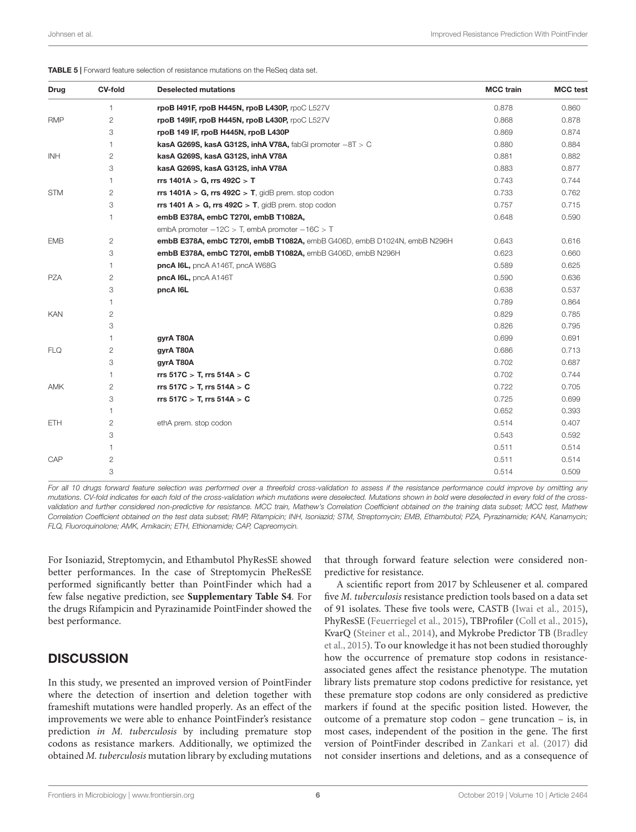| <b>Drug</b> | <b>CV-fold</b> | <b>Deselected mutations</b>                                              | <b>MCC</b> train | <b>MCC</b> test |
|-------------|----------------|--------------------------------------------------------------------------|------------------|-----------------|
|             | 1              | rpoB I491F, rpoB H445N, rpoB L430P, rpoC L527V                           | 0.878            | 0.860           |
| <b>RMP</b>  | 2              | rpoB 149IF, rpoB H445N, rpoB L430P, rpoC L527V                           | 0.868            | 0.878           |
|             | 3              | rpoB 149 IF, rpoB H445N, rpoB L430P                                      | 0.869            | 0.874           |
|             | 1              | kasA G269S, kasA G312S, inhA V78A, fabGl promoter $-8T > C$              | 0.880            | 0.884           |
| <b>INH</b>  | 2              | kasA G269S, kasA G312S, inhA V78A                                        | 0.881            | 0.882           |
|             | 3              | kasA G269S, kasA G312S, inhA V78A                                        | 0.883            | 0.877           |
|             | 1              | rrs 1401A > G, rrs 492C > T                                              | 0.743            | 0.744           |
| <b>STM</b>  | 2              | $rrs$ 1401A > G, $rrs$ 492C > T, gidB prem. stop codon                   | 0.733            | 0.762           |
|             | 3              | rrs 1401 $A > G$ , rrs 492 $C > T$ , gidB prem. stop codon               | 0.757            | 0.715           |
|             | 1              | embB E378A, embC T270I, embB T1082A,                                     | 0.648            | 0.590           |
|             |                | embA promoter $-12C$ > T, embA promoter $-16C$ > T                       |                  |                 |
| <b>EMB</b>  | 2              | embB E378A, embC T270I, embB T1082A, embB G406D, embB D1024N, embB N296H | 0.643            | 0.616           |
|             | 3              | embB E378A, embC T270I, embB T1082A, embB G406D, embB N296H              | 0.623            | 0.660           |
|             | 1              | pncA I6L, pncA A146T, pncA W68G                                          | 0.589            | 0.625           |
| <b>PZA</b>  | 2              | pncA I6L, pncA A146T                                                     | 0.590            | 0.636           |
|             | 3              | pncA I6L                                                                 | 0.638            | 0.537           |
|             | 1              |                                                                          | 0.789            | 0.864           |
| KAN         | $\overline{c}$ |                                                                          | 0.829            | 0.785           |
|             | 3              |                                                                          | 0.826            | 0.795           |
|             | 1              | gyrA T80A                                                                | 0.699            | 0.691           |
| <b>FLQ</b>  | 2              | gyrA T80A                                                                | 0.686            | 0.713           |
|             | 3              | gyrA T80A                                                                | 0.702            | 0.687           |
|             | 1              | rrs 517C > T, rrs 514A > C                                               | 0.702            | 0.744           |
| AMK         | $\overline{c}$ | rrs $517C > T$ , rrs $514A > C$                                          | 0.722            | 0.705           |
|             | 3              | rrs 517C $>$ T, rrs 514A $>$ C                                           | 0.725            | 0.699           |
|             | 1              |                                                                          | 0.652            | 0.393           |
| ETH         | 2              | ethA prem. stop codon                                                    | 0.514            | 0.407           |
|             | 3              |                                                                          | 0.543            | 0.592           |
|             | 1              |                                                                          | 0.511            | 0.514           |
| CAP         | $\mathbf{2}$   |                                                                          | 0.511            | 0.514           |
|             | 3              |                                                                          | 0.514            | 0.509           |

<span id="page-5-0"></span>TABLE 5 | Forward feature selection of resistance mutations on the ReSeq data set.

For all 10 drugs forward feature selection was performed over a threefold cross-validation to assess if the resistance performance could improve by omitting any mutations. CV-fold indicates for each fold of the cross-validation which mutations were deselected. Mutations shown in bold were deselected in every fold of the crossvalidation and further considered non-predictive for resistance. MCC train, Mathew's Correlation Coefficient obtained on the training data subset; MCC test, Mathew Correlation Coefficient obtained on the test data subset; RMP, Rifampicin; INH, Isoniazid; STM, Streptomycin; EMB, Ethambutol; PZA, Pyrazinamide; KAN, Kanamycin; FLQ, Fluoroquinolone; AMK, Amikacin; ETH, Ethionamide; CAP, Capreomycin.

For Isoniazid, Streptomycin, and Ethambutol PhyResSE showed better performances. In the case of Streptomycin PheResSE performed significantly better than PointFinder which had a few false negative prediction, see **[Supplementary Table S4](#page-8-5)**. For the drugs Rifampicin and Pyrazinamide PointFinder showed the best performance.

# **DISCUSSION**

In this study, we presented an improved version of PointFinder where the detection of insertion and deletion together with frameshift mutations were handled properly. As an effect of the improvements we were able to enhance PointFinder's resistance prediction in M. tuberculosis by including premature stop codons as resistance markers. Additionally, we optimized the obtained M. tuberculosis mutation library by excluding mutations

that through forward feature selection were considered nonpredictive for resistance.

A scientific report from 2017 by Schleusener et al. compared five M. tuberculosis resistance prediction tools based on a data set of 91 isolates. These five tools were, CASTB [\(Iwai et al.,](#page-8-6) [2015\)](#page-8-6), PhyResSE [\(Feuerriegel et al.,](#page-8-0) [2015\)](#page-8-0), TBProfiler [\(Coll et al.,](#page-8-1) [2015\)](#page-8-1), KvarQ [\(Steiner et al.,](#page-9-9) [2014\)](#page-9-9), and Mykrobe Predictor TB [\(Bradley](#page-8-7) [et al.,](#page-8-7) [2015\)](#page-8-7). To our knowledge it has not been studied thoroughly how the occurrence of premature stop codons in resistanceassociated genes affect the resistance phenotype. The mutation library lists premature stop codons predictive for resistance, yet these premature stop codons are only considered as predictive markers if found at the specific position listed. However, the outcome of a premature stop codon – gene truncation – is, in most cases, independent of the position in the gene. The first version of PointFinder described in [Zankari et al.](#page-9-6) [\(2017\)](#page-9-6) did not consider insertions and deletions, and as a consequence of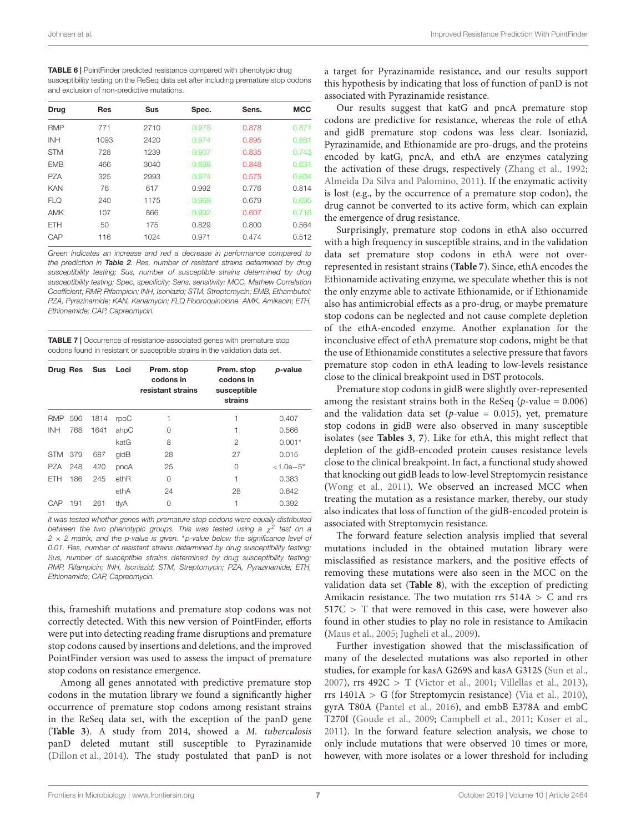<span id="page-6-0"></span>TABLE 6 | PointFinder predicted resistance compared with phenotypic drug susceptibility testing on the ReSeq data set after including premature stop codons and exclusion of non-predictive mutations.

| <b>Drug</b> | <b>Res</b> | <b>Sus</b> | Spec. | Sens. | <b>MCC</b> |
|-------------|------------|------------|-------|-------|------------|
| <b>RMP</b>  | 771        | 2710       | 0.978 | 0.878 | 0.871      |
| <b>INH</b>  | 1093       | 2420       | 0.974 | 0.895 | 0.881      |
| <b>STM</b>  | 728        | 1239       | 0.907 | 0.835 | 0.743      |
| <b>FMB</b>  | 466        | 3040       | 0.898 | 0.848 | 0.631      |
| PZA         | 325        | 2993       | 0.974 | 0.575 | 0.604      |
| <b>KAN</b>  | 76         | 617        | 0.992 | 0.776 | 0.814      |
| <b>FLQ</b>  | 240        | 1175       | 0.968 | 0.679 | 0.695      |
| AMK         | 107        | 866        | 0.992 | 0.607 | 0.716      |
| <b>ETH</b>  | 50         | 175        | 0.829 | 0.800 | 0.564      |
| CAP         | 116        | 1024       | 0.971 | 0.474 | 0.512      |

Green indicates an increase and red a decrease in performance compared to the prediction in [Table 2](#page-3-1). Res, number of resistant strains determined by drug susceptibility testing; Sus, number of susceptible strains determined by drug susceptibility testing; Spec, specificity; Sens, sensitivity; MCC, Mathew Correlation Coefficient; RMP, Rifampicin; INH, Isoniazid; STM, Streptomycin; EMB, Ethambutol; PZA, Pyrazinamide; KAN, Kanamycin; FLQ Fluoroquinolone. AMK, Amikacin; ETH, Ethionamide; CAP, Capreomycin.

<span id="page-6-1"></span>TABLE 7 | Occurrence of resistance-associated genes with premature stop codons found in resistant or susceptible strains in the validation data set.

| Drug Res   |     | Sus  | Loci | Prem. stop<br>codons in<br>resistant strains | Prem. stop<br>codons in<br>susceptible<br>strains | p-value       |
|------------|-----|------|------|----------------------------------------------|---------------------------------------------------|---------------|
| <b>RMP</b> | 596 | 1814 | rpoC | 1                                            | 1                                                 | 0.407         |
| <b>INH</b> | 768 | 1641 | ahpC | 0                                            | 1                                                 | 0.566         |
|            |     |      | katG | 8                                            | $\mathfrak{D}$                                    | $0.001*$      |
| <b>STM</b> | 379 | 687  | qidB | 28                                           | 27                                                | 0.015         |
| PZA        | 248 | 420  | pncA | 25                                           | $\Omega$                                          | $< 1.0e - 5*$ |
| <b>ETH</b> | 186 | 245  | ethR | $\Omega$                                     | 1                                                 | 0.383         |
|            |     |      | ethA | 24                                           | 28                                                | 0.642         |
| CAP        | 191 | 261  | tlyA | 0                                            | 1                                                 | 0.392         |

It was tested whether genes with premature stop codons were equally distributed between the two phenotypic groups. This was tested using a  $\chi^2$  test on a 2  $\times$  2 matrix, and the p-value is given. \*p-value below the significance level of 0.01. Res, number of resistant strains determined by drug susceptibility testing; Sus, number of susceptible strains determined by drug susceptibility testing; RMP, Rifampicin; INH, Isoniazid; STM, Streptomycin; PZA, Pyrazinamide; ETH, Ethionamide; CAP, Capreomycin.

this, frameshift mutations and premature stop codons was not correctly detected. With this new version of PointFinder, efforts were put into detecting reading frame disruptions and premature stop codons caused by insertions and deletions, and the improved PointFinder version was used to assess the impact of premature stop codons on resistance emergence.

Among all genes annotated with predictive premature stop codons in the mutation library we found a significantly higher occurrence of premature stop codons among resistant strains in the ReSeq data set, with the exception of the panD gene (**[Table 3](#page-4-0)**). A study from 2014, showed a M. tuberculosis panD deleted mutant still susceptible to Pyrazinamide [\(Dillon et al.,](#page-8-8) [2014\)](#page-8-8). The study postulated that panD is not

a target for Pyrazinamide resistance, and our results support this hypothesis by indicating that loss of function of panD is not associated with Pyrazinamide resistance.

Our results suggest that katG and pncA premature stop codons are predictive for resistance, whereas the role of ethA and gidB premature stop codons was less clear. Isoniazid, Pyrazinamide, and Ethionamide are pro-drugs, and the proteins encoded by katG, pncA, and ethA are enzymes catalyzing the activation of these drugs, respectively [\(Zhang et al.,](#page-9-10) [1992;](#page-9-10) [Almeida Da Silva and Palomino,](#page-8-9) [2011\)](#page-8-9). If the enzymatic activity is lost (e.g., by the occurrence of a premature stop codon), the drug cannot be converted to its active form, which can explain the emergence of drug resistance.

Surprisingly, premature stop codons in ethA also occurred with a high frequency in susceptible strains, and in the validation data set premature stop codons in ethA were not overrepresented in resistant strains (**[Table 7](#page-6-1)**). Since, ethA encodes the Ethionamide activating enzyme, we speculate whether this is not the only enzyme able to activate Ethionamide, or if Ethionamide also has antimicrobial effects as a pro-drug, or maybe premature stop codons can be neglected and not cause complete depletion of the ethA-encoded enzyme. Another explanation for the inconclusive effect of ethA premature stop codons, might be that the use of Ethionamide constitutes a selective pressure that favors premature stop codon in ethA leading to low-levels resistance close to the clinical breakpoint used in DST protocols.

Premature stop codons in gidB were slightly over-represented among the resistant strains both in the ReSeq ( $p$ -value = 0.006) and the validation data set ( $p$ -value = 0.015), yet, premature stop codons in gidB were also observed in many susceptible isolates (see **[Tables 3](#page-4-0)**, **[7](#page-6-1)**). Like for ethA, this might reflect that depletion of the gidB-encoded protein causes resistance levels close to the clinical breakpoint. In fact, a functional study showed that knocking out gidB leads to low-level Streptomycin resistance [\(Wong et al.,](#page-9-11) [2011\)](#page-9-11). We observed an increased MCC when treating the mutation as a resistance marker, thereby, our study also indicates that loss of function of the gidB-encoded protein is associated with Streptomycin resistance.

The forward feature selection analysis implied that several mutations included in the obtained mutation library were misclassified as resistance markers, and the positive effects of removing these mutations were also seen in the MCC on the validation data set (**[Table 8](#page-7-0)**), with the exception of predicting Amikacin resistance. The two mutation rrs  $514A > C$  and rrs 517C > T that were removed in this case, were however also found in other studies to play no role in resistance to Amikacin [\(Maus et al.,](#page-9-12) [2005;](#page-9-12) [Jugheli et al.,](#page-8-10) [2009\)](#page-8-10).

Further investigation showed that the misclassification of many of the deselected mutations was also reported in other studies, for example for kasA G269S and kasA G312S [\(Sun et al.,](#page-9-13) [2007\)](#page-9-13), rrs 492C > T [\(Victor et al.,](#page-9-14) [2001;](#page-9-14) [Villellas et al.,](#page-9-15) [2013\)](#page-9-15), rrs 1401A > G (for Streptomycin resistance) [\(Via et al.,](#page-9-16) [2010\)](#page-9-16), gyrA T80A [\(Pantel et al.,](#page-9-17) [2016\)](#page-9-17), and embB E378A and embC T270I [\(Goude et al.,](#page-8-11) [2009;](#page-8-11) [Campbell et al.,](#page-8-12) [2011;](#page-8-12) [Koser et al.,](#page-9-18) [2011\)](#page-9-18). In the forward feature selection analysis, we chose to only include mutations that were observed 10 times or more, however, with more isolates or a lower threshold for including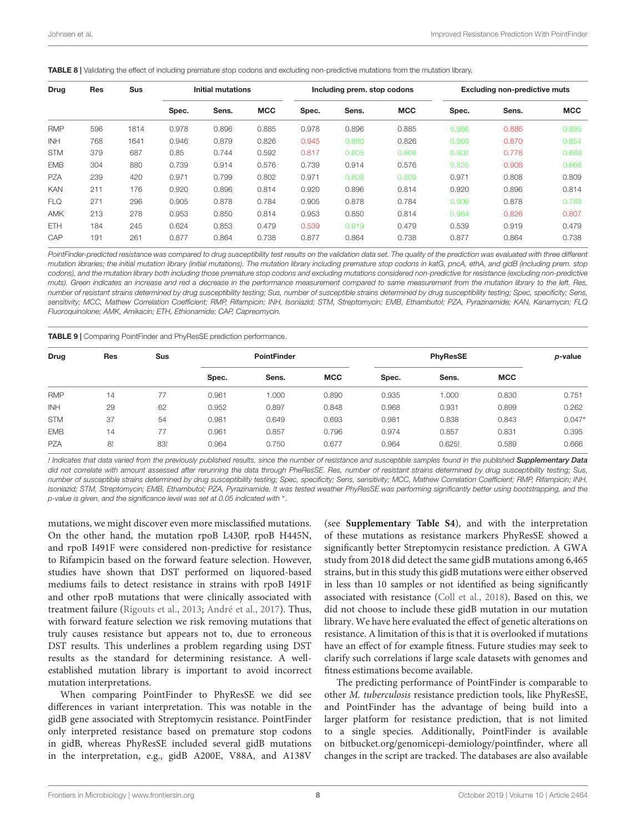<span id="page-7-0"></span>

| Drug       | <b>Res</b> | <b>Sus</b><br>Initial mutations |       | Including prem. stop codons |            |       | <b>Excluding non-predictive muts</b> |            |       |       |            |
|------------|------------|---------------------------------|-------|-----------------------------|------------|-------|--------------------------------------|------------|-------|-------|------------|
|            |            |                                 | Spec. | Sens.                       | <b>MCC</b> | Spec. | Sens.                                | <b>MCC</b> | Spec. | Sens. | <b>MCC</b> |
| <b>RMP</b> | 596        | 1814                            | 0.978 | 0.896                       | 0.885      | 0.978 | 0.896                                | 0.885      | 0.986 | 0.886 | 0.895      |
| <b>INH</b> | 768        | 1641                            | 0.946 | 0.879                       | 0.826      | 0.945 | 0.880                                | 0.826      | 0.969 | 0.870 | 0.854      |
| <b>STM</b> | 379        | 687                             | 0.85  | 0.744                       | 0.592      | 0.817 | 0.805                                | 0.606      | 0.902 | 0.778 | 0.688      |
| <b>EMB</b> | 304        | 880                             | 0.739 | 0.914                       | 0.576      | 0.739 | 0.914                                | 0.576      | 0.825 | 0.908 | 0.666      |
| <b>PZA</b> | 239        | 420                             | 0.971 | 0.799                       | 0.802      | 0.971 | 0.808                                | 0.809      | 0.971 | 0.808 | 0.809      |
| <b>KAN</b> | 211        | 176                             | 0.920 | 0.896                       | 0.814      | 0.920 | 0.896                                | 0.814      | 0.920 | 0.896 | 0.814      |
| <b>FLQ</b> | 271        | 296                             | 0.905 | 0.878                       | 0.784      | 0.905 | 0.878                                | 0.784      | 0.909 | 0.878 | 0.788      |
| <b>AMK</b> | 213        | 278                             | 0.953 | 0.850                       | 0.814      | 0.953 | 0.850                                | 0.814      | 0.964 | 0.826 | 0.807      |
| <b>ETH</b> | 184        | 245                             | 0.624 | 0.853                       | 0.479      | 0.539 | 0.919                                | 0.479      | 0.539 | 0.919 | 0.479      |
| CAP        | 191        | 261                             | 0.877 | 0.864                       | 0.738      | 0.877 | 0.864                                | 0.738      | 0.877 | 0.864 | 0.738      |

PointFinder-predicted resistance was compared to drug susceptibility test results on the validation data set. The quality of the prediction was evaluated with three different mutation libraries; the initial mutation library (initial mutations). The mutation library including premature stop codons in katG, pncA, ethA, and gidB (including prem. stop codons), and the mutation library both including those premature stop codons and excluding mutations considered non-predictive for resistance (excluding non-predictive muts). Green indicates an increase and red a decrease in the performance measurement compared to same measurement from the mutation library to the left. Res, number of resistant strains determined by drug susceptibility testing; Sus, number of susceptible strains determined by drug susceptibility testing; Spec, specificity; Sens, sensitivity; MCC, Mathew Correlation Coefficient; RMP, Rifampicin; INH, Isoniazid; STM, Streptomycin; EMB, Ethambutol; PZA, Pyrazinamide; KAN, Kanamycin; FLQ Fluoroquinolone; AMK, Amikacin; ETH, Ethionamide; CAP, Capreomycin.

<span id="page-7-1"></span>TABLE 9 | Comparing PointFinder and PhyResSE prediction performance.

| <b>Drug</b> | <b>Res</b>      | <b>Sus</b> | PointFinder |       |            | <b>PhyResSE</b> |        |            | p-value  |
|-------------|-----------------|------------|-------------|-------|------------|-----------------|--------|------------|----------|
|             |                 |            | Spec.       | Sens. | <b>MCC</b> | Spec.           | Sens.  | <b>MCC</b> |          |
| <b>RMP</b>  | 14              | 77         | 0.961       | 000.1 | 0.890      | 0.935           | 1.000  | 0.830      | 0.751    |
| INH         | 29              | 62         | 0.952       | 0.897 | 0.848      | 0.968           | 0.931  | 0.899      | 0.262    |
| <b>STM</b>  | 37              | 54         | 0.981       | 0.649 | 0.693      | 0.981           | 0.838  | 0.843      | $0.047*$ |
| <b>EMB</b>  | $\overline{14}$ | 77         | 0.961       | 0.857 | 0.796      | 0.974           | 0.857  | 0.831      | 0.395    |
| <b>PZA</b>  | 8!              | 83!        | 0.964       | 0.750 | 0.677      | 0.964           | 0.625! | 0.589      | 0.666    |

! Indicates that data varied from the previously published results, since the number of resistance and susceptible samples found in the published [Supplementary Data](#page-8-5) did not correlate with amount assessed after rerunning the data through PheResSE. Res, number of resistant strains determined by drug susceptibility testing; Sus, number of susceptible strains determined by drug susceptibility testing; Spec, specificity; Sens, sensitivity; MCC, Mathew Correlation Coefficient; RMP, Rifampicin; INH, Isoniazid; STM, Streptomycin; EMB, Ethambutol; PZA, Pyrazinamide. It was tested weather PhyResSE was performing significantly better using bootstrapping, and the p-value is given, and the significance level was set at 0.05 indicated with  $^*$ .

mutations, we might discover even more misclassified mutations. On the other hand, the mutation rpoB L430P, rpoB H445N, and rpoB I491F were considered non-predictive for resistance to Rifampicin based on the forward feature selection. However, studies have shown that DST performed on liquored-based mediums fails to detect resistance in strains with rpoB I491F and other rpoB mutations that were clinically associated with treatment failure [\(Rigouts et al.,](#page-9-19) [2013;](#page-9-19) [André et al.,](#page-8-13) [2017\)](#page-8-13). Thus, with forward feature selection we risk removing mutations that truly causes resistance but appears not to, due to erroneous DST results. This underlines a problem regarding using DST results as the standard for determining resistance. A wellestablished mutation library is important to avoid incorrect mutation interpretations.

When comparing PointFinder to PhyResSE we did see differences in variant interpretation. This was notable in the gidB gene associated with Streptomycin resistance. PointFinder only interpreted resistance based on premature stop codons in gidB, whereas PhyResSE included several gidB mutations in the interpretation, e.g., gidB A200E, V88A, and A138V

(see **[Supplementary Table S4](#page-8-5)**), and with the interpretation of these mutations as resistance markers PhyResSE showed a significantly better Streptomycin resistance prediction. A GWA study from 2018 did detect the same gidB mutations among 6,465 strains, but in this study this gidB mutations were either observed in less than 10 samples or not identified as being significantly associated with resistance [\(Coll et al.,](#page-8-2) [2018\)](#page-8-2). Based on this, we did not choose to include these gidB mutation in our mutation library. We have here evaluated the effect of genetic alterations on resistance. A limitation of this is that it is overlooked if mutations have an effect of for example fitness. Future studies may seek to clarify such correlations if large scale datasets with genomes and fitness estimations become available.

The predicting performance of PointFinder is comparable to other M. tuberculosis resistance prediction tools, like PhyResSE, and PointFinder has the advantage of being build into a larger platform for resistance prediction, that is not limited to a single species. Additionally, PointFinder is available on [bitbucket.org/genomicepi-demiology/pointfinder,](http://bitbucket.org/genomicepi-demiology/pointfinder) where all changes in the script are tracked. The databases are also available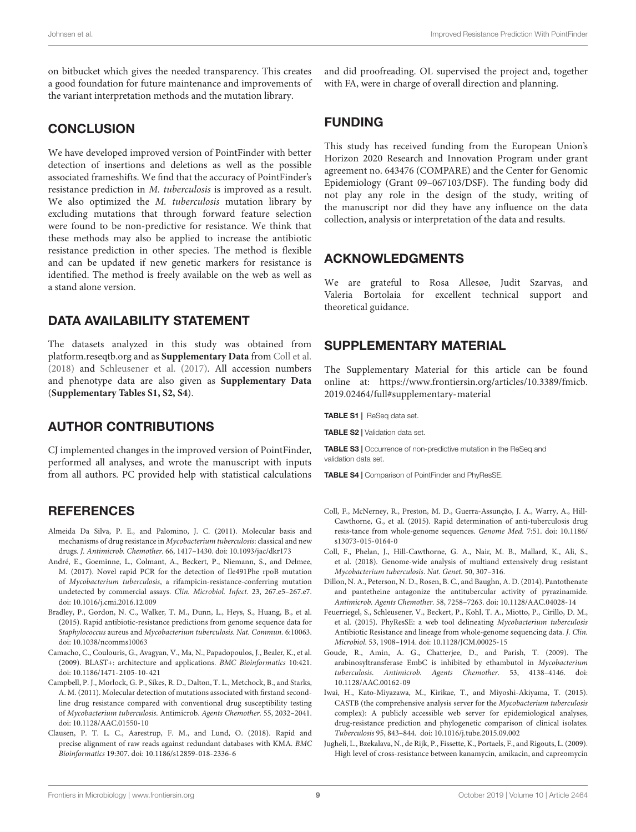on bitbucket which gives the needed transparency. This creates a good foundation for future maintenance and improvements of the variant interpretation methods and the mutation library.

### **CONCLUSION**

We have developed improved version of PointFinder with better detection of insertions and deletions as well as the possible associated frameshifts. We find that the accuracy of PointFinder's resistance prediction in M. tuberculosis is improved as a result. We also optimized the M. tuberculosis mutation library by excluding mutations that through forward feature selection were found to be non-predictive for resistance. We think that these methods may also be applied to increase the antibiotic resistance prediction in other species. The method is flexible and can be updated if new genetic markers for resistance is identified. The method is freely available on the web as well as a stand alone version.

### DATA AVAILABILITY STATEMENT

The datasets analyzed in this study was obtained from [platform.reseqtb.org](http://platform.reseqtb.org) and as **[Supplementary Data](#page-8-5)** from [Coll et al.](#page-8-2) [\(2018\)](#page-8-2) and [Schleusener et al.](#page-9-8) [\(2017\)](#page-9-8). All accession numbers and phenotype data are also given as **[Supplementary Data](#page-8-5)** (**[Supplementary Tables S1, S2, S4](#page-8-5)**).

# AUTHOR CONTRIBUTIONS

CJ implemented changes in the improved version of PointFinder, performed all analyses, and wrote the manuscript with inputs from all authors. PC provided help with statistical calculations

# **REFERENCES**

- <span id="page-8-9"></span>Almeida Da Silva, P. E., and Palomino, J. C. (2011). Molecular basis and mechanisms of drug resistance in Mycobacterium tuberculosis: classical and new drugs. J. Antimicrob. Chemother. 66, 1417–1430. [doi: 10.1093/jac/dkr173](https://doi.org/10.1093/jac/dkr173)
- <span id="page-8-13"></span>André, E., Goeminne, L., Colmant, A., Beckert, P., Niemann, S., and Delmee, M. (2017). Novel rapid PCR for the detection of Ile491Phe rpoB mutation of Mycobacterium tuberculosis, a rifampicin-resistance-conferring mutation undetected by commercial assays. Clin. Microbiol. Infect. 23, 267.e5–267.e7. [doi: 10.1016/j.cmi.2016.12.009](https://doi.org/10.1016/j.cmi.2016.12.009)
- <span id="page-8-7"></span>Bradley, P., Gordon, N. C., Walker, T. M., Dunn, L., Heys, S., Huang, B., et al. (2015). Rapid antibiotic-resistance predictions from genome sequence data for Staphylococcus aureus and Mycobacterium tuberculosis. Nat. Commun. 6:10063. [doi: 10.1038/ncomms10063](https://doi.org/10.1038/ncomms10063)
- <span id="page-8-4"></span>Camacho, C., Coulouris, G., Avagyan, V., Ma, N., Papadopoulos, J., Bealer, K., et al. (2009). BLAST+: architecture and applications. BMC Bioinformatics 10:421. [doi: 10.1186/1471-2105-10-421](https://doi.org/10.1186/1471-2105-10-421)
- <span id="page-8-12"></span>Campbell, P. J., Morlock, G. P., Sikes, R. D., Dalton, T. L., Metchock, B., and Starks, A. M. (2011). Molecular detection of mutations associated with firstand secondline drug resistance compared with conventional drug susceptibility testing of Mycobacterium tuberculosis. Antimicrob. Agents Chemother. 55, 2032–2041. [doi: 10.1128/AAC.01550-10](https://doi.org/10.1128/AAC.01550-10)
- <span id="page-8-3"></span>Clausen, P. T. L. C., Aarestrup, F. M., and Lund, O. (2018). Rapid and precise alignment of raw reads against redundant databases with KMA. BMC Bioinformatics 19:307. [doi: 10.1186/s12859-018-2336-6](https://doi.org/10.1186/s12859-018-2336-6)

and did proofreading. OL supervised the project and, together with FA, were in charge of overall direction and planning.

# FUNDING

This study has received funding from the European Union's Horizon 2020 Research and Innovation Program under grant agreement no. 643476 (COMPARE) and the Center for Genomic Epidemiology (Grant 09–067103/DSF). The funding body did not play any role in the design of the study, writing of the manuscript nor did they have any influence on the data collection, analysis or interpretation of the data and results.

### ACKNOWLEDGMENTS

We are grateful to Rosa Allesøe, Judit Szarvas, and Valeria Bortolaia for excellent technical support and theoretical guidance.

# <span id="page-8-5"></span>SUPPLEMENTARY MATERIAL

The Supplementary Material for this article can be found online at: [https://www.frontiersin.org/articles/10.3389/fmicb.](https://www.frontiersin.org/articles/10.3389/fmicb.2019.02464/full#supplementary-material) [2019.02464/full#supplementary-material](https://www.frontiersin.org/articles/10.3389/fmicb.2019.02464/full#supplementary-material)

TABLE S1 | ReSeq data set.

TABLE S2 | Validation data set.

TABLE S3 | Occurrence of non-predictive mutation in the ReSeq and validation data set.

TABLE S4 | Comparison of PointFinder and PhyResSE.

- <span id="page-8-1"></span>Coll, F., McNerney, R., Preston, M. D., Guerra-Assunção, J. A., Warry, A., Hill-Cawthorne, G., et al. (2015). Rapid determination of anti-tuberculosis drug resis-tance from whole-genome sequences. Genome Med. 7:51. [doi: 10.1186/](https://doi.org/10.1186/s13073-015-0164-0) [s13073-015-0164-0](https://doi.org/10.1186/s13073-015-0164-0)
- <span id="page-8-2"></span>Coll, F., Phelan, J., Hill-Cawthorne, G. A., Nair, M. B., Mallard, K., Ali, S., et al. (2018). Genome-wide analysis of multiand extensively drug resistant Mycobacterium tuberculosis. Nat. Genet. 50, 307–316.
- <span id="page-8-8"></span>Dillon, N. A., Peterson, N. D., Rosen, B. C., and Baughn, A. D. (2014). Pantothenate and pantetheine antagonize the antitubercular activity of pyrazinamide. Antimicrob. Agents Chemother. 58, 7258–7263. [doi: 10.1128/AAC.04028-14](https://doi.org/10.1128/AAC.04028-14)
- <span id="page-8-0"></span>Feuerriegel, S., Schleusener, V., Beckert, P., Kohl, T. A., Miotto, P., Cirillo, D. M., et al. (2015). PhyResSE: a web tool delineating Mycobacterium tuberculosis Antibiotic Resistance and lineage from whole-genome sequencing data. J. Clin. Microbiol. 53, 1908–1914. [doi: 10.1128/JCM.00025-15](https://doi.org/10.1128/JCM.00025-15)
- <span id="page-8-11"></span>Goude, R., Amin, A. G., Chatterjee, D., and Parish, T. (2009). The arabinosyltransferase EmbC is inhibited by ethambutol in Mycobacterium tuberculosis. Antimicrob. Agents Chemother. 53, 4138–4146. [doi:](https://doi.org/10.1128/AAC.00162-09) [10.1128/AAC.00162-09](https://doi.org/10.1128/AAC.00162-09)
- <span id="page-8-6"></span>Iwai, H., Kato-Miyazawa, M., Kirikae, T., and Miyoshi-Akiyama, T. (2015). CASTB (the comprehensive analysis server for the Mycobacterium tuberculosis complex): A publicly accessible web server for epidemiological analyses, drug-resistance prediction and phylogenetic comparison of clinical isolates. Tuberculosis 95, 843–844. [doi: 10.1016/j.tube.2015.09.002](https://doi.org/10.1016/j.tube.2015.09.002)
- <span id="page-8-10"></span>Jugheli, L., Bzekalava, N., de Rijk, P., Fissette, K., Portaels, F., and Rigouts, L. (2009). High level of cross-resistance between kanamycin, amikacin, and capreomycin